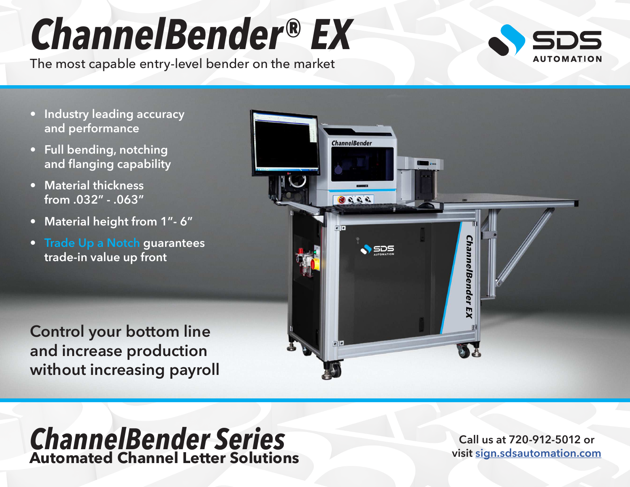## *ChannelBender® EX*

The most capable entry-level bender on the market



- **Industry leading accuracy and performance**
- **Full bending, notching and flanging capability**
- **Material thickness from .032" - .063"**
- **Material height from 1"- 6"**
- **Trade Up a Notch guarantees trade-in value up front**

**Control your bottom line and increase production without increasing payroll**



## *ChannelBender Series* **Automated Channel Letter Solutions**

**Call us at 720-912-5012 or visit [sign.sdsautomation.com](https://sign.sdsautomation.com/?utm_source=PDF+Spec+Sheets&utm_medium=PDF&utm_campaign=Literature)**